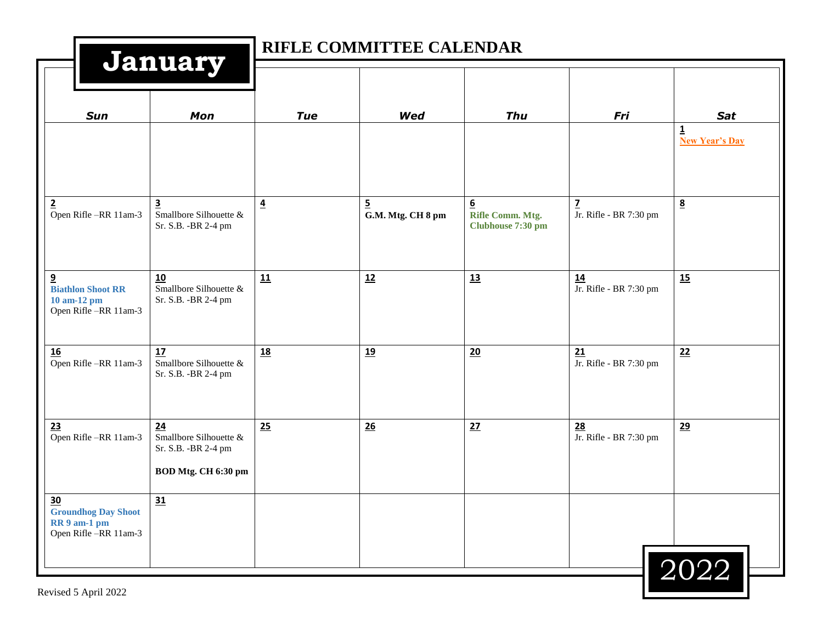|                                                                                             |                                                                                |                | RIFLE COMMITTEE CALENDAR            |                                                           |                                          |                                                  |
|---------------------------------------------------------------------------------------------|--------------------------------------------------------------------------------|----------------|-------------------------------------|-----------------------------------------------------------|------------------------------------------|--------------------------------------------------|
| <b>Sun</b>                                                                                  | January<br>Mon                                                                 | <b>Tue</b>     | Wed                                 | <b>Thu</b>                                                | Fri                                      | Sat                                              |
|                                                                                             |                                                                                |                |                                     |                                                           |                                          | $\overline{\mathbf{1}}$<br><b>New Year's Day</b> |
| $\overline{2}$<br>Open Rifle-RR 11am-3                                                      | $\overline{\mathbf{3}}$<br>Smallbore Silhouette $\&$<br>Sr. S.B. - BR 2-4 pm   | $\overline{4}$ | $\overline{5}$<br>G.M. Mtg. CH 8 pm | $6 \overline{6}$<br>Rifle Comm. Mtg.<br>Clubhouse 7:30 pm | $\overline{z}$<br>Jr. Rifle - BR 7:30 pm | $\underline{8}$                                  |
| 9<br><b>Biathlon Shoot RR</b><br>10 am-12 pm<br>Open Rifle-RR 11am-3                        | 10<br>Smallbore Silhouette &<br>Sr. S.B. - BR 2-4 pm                           | 11             | 12                                  | 13                                                        | 14<br>Jr. Rifle - BR 7:30 pm             | 15                                               |
| 16<br>Open Rifle-RR 11am-3                                                                  | 17<br>Smallbore Silhouette &<br>Sr. S.B. - BR 2-4 pm                           | <u>18</u>      | <u>19</u>                           | 20                                                        | 21<br>Jr. Rifle - BR 7:30 pm             | 22                                               |
| 23<br>Open Rifle-RR 11am-3                                                                  | 24<br>Smallbore Silhouette $\&$<br>Sr. S.B. - BR 2-4 pm<br>BOD Mtg. CH 6:30 pm | 25             | 26                                  | 27                                                        | 28<br>Jr. Rifle - BR 7:30 pm             | 29                                               |
| $\frac{30}{2}$<br><b>Groundhog Day Shoot</b><br><b>RR</b> 9 am-1 pm<br>Open Rifle-RR 11am-3 | 31                                                                             |                |                                     |                                                           |                                          | 2022                                             |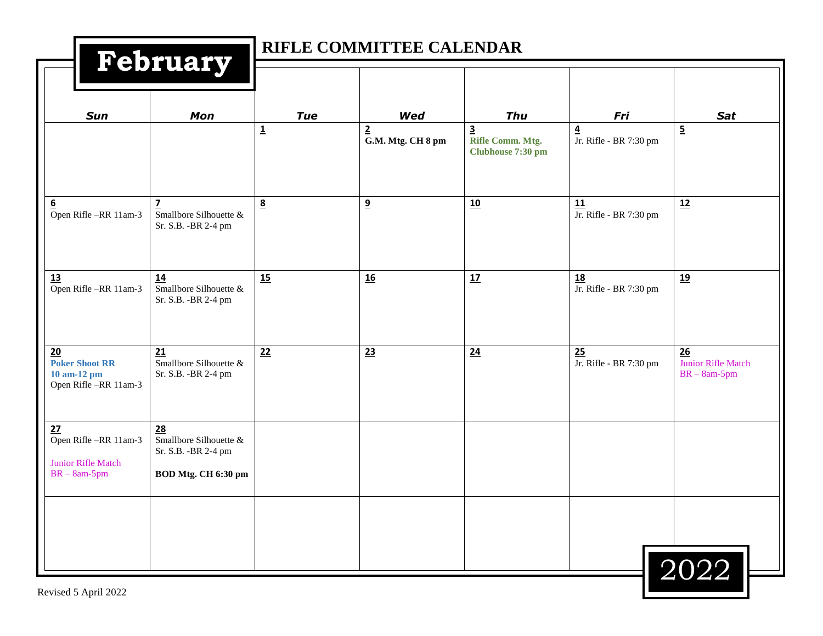|                                                                      | RIFLE COMMITTEE CALENDAR<br>February                                        |                          |                                     |                                                                  |                                          |                                              |
|----------------------------------------------------------------------|-----------------------------------------------------------------------------|--------------------------|-------------------------------------|------------------------------------------------------------------|------------------------------------------|----------------------------------------------|
| Sun                                                                  | Mon                                                                         | <b>Tue</b>               | Wed                                 | <b>Thu</b>                                                       | Fri                                      | <b>Sat</b>                                   |
|                                                                      |                                                                             | $\underline{\mathbf{1}}$ | $\overline{2}$<br>G.M. Mtg. CH 8 pm | $\overline{\mathbf{3}}$<br>Rifle Comm. Mtg.<br>Clubhouse 7:30 pm | $\overline{4}$<br>Jr. Rifle - BR 7:30 pm | $\overline{\mathbf{5}}$                      |
| $\underline{6}$<br>Open Rifle-RR 11am-3                              | 7<br>Smallbore Silhouette $\&$<br>Sr. S.B. - BR 2-4 pm                      | 8                        | 9                                   | 10                                                               | 11<br>Jr. Rifle - BR 7:30 pm             | 12                                           |
| 13<br>Open Rifle-RR 11am-3                                           | 14<br>Smallbore Silhouette &<br>Sr. S.B. - BR 2-4 pm                        | 15                       | 16                                  | 17                                                               | 18<br>Jr. Rifle - BR 7:30 pm             | 19                                           |
| 20<br><b>Poker Shoot RR</b><br>10 am-12 pm<br>Open Rifle-RR 11am-3   | 21<br>Smallbore Silhouette &<br>Sr. S.B. - BR 2-4 pm                        | 22                       | 23                                  | 24                                                               | 25<br>Jr. Rifle - BR 7:30 pm             | 26<br>Junior Rifle Match<br>$BR - 8am - 5pm$ |
| 27<br>Open Rifle-RR 11am-3<br>Junior Rifle Match<br>$BR - 8am - 5pm$ | 28<br>Smallbore Silhouette &<br>Sr. S.B. - BR 2-4 pm<br>BOD Mtg. CH 6:30 pm |                          |                                     |                                                                  |                                          |                                              |
|                                                                      |                                                                             |                          |                                     |                                                                  |                                          | 2022                                         |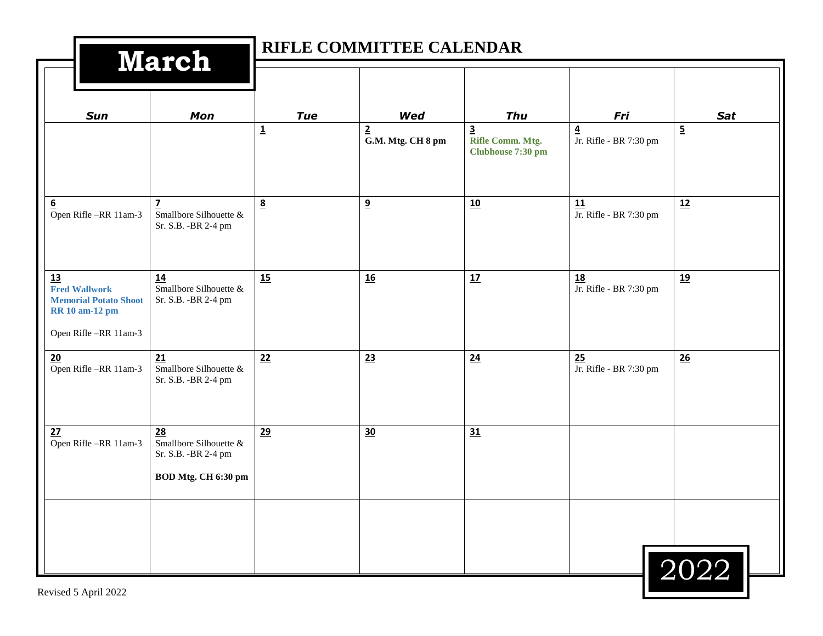| <b>March</b>                                                                                                |                                                                             |                                       | RIFLE COMMITTEE CALENDAR                   |                                                                                |                                                          |                              |
|-------------------------------------------------------------------------------------------------------------|-----------------------------------------------------------------------------|---------------------------------------|--------------------------------------------|--------------------------------------------------------------------------------|----------------------------------------------------------|------------------------------|
|                                                                                                             |                                                                             |                                       |                                            |                                                                                |                                                          |                              |
| Sun                                                                                                         | Mon                                                                         | <b>Tue</b><br>$\overline{\mathbf{1}}$ | Wed<br>$\overline{2}$<br>G.M. Mtg. CH 8 pm | <b>Thu</b><br>$\overline{\mathbf{3}}$<br>Rifle Comm. Mtg.<br>Clubhouse 7:30 pm | Fri<br>$\overline{\mathbf{4}}$<br>Jr. Rifle - BR 7:30 pm | <b>Sat</b><br>$\overline{5}$ |
| <u>6</u><br>Open Rifle-RR 11am-3                                                                            | 7<br>Smallbore Silhouette $\&$<br>Sr. S.B. - BR 2-4 pm                      | $8\overline{6}$                       | 9                                          | 10                                                                             | 11<br>Jr. Rifle - BR 7:30 pm                             | 12                           |
| 13<br><b>Fred Wallwork</b><br><b>Memorial Potato Shoot</b><br><b>RR</b> 10 am-12 pm<br>Open Rifle-RR 11am-3 | 14<br>Smallbore Silhouette &<br>Sr. S.B. - BR 2-4 pm                        | 15                                    | 16                                         | 17                                                                             | $\underline{18}$<br>Jr. Rifle - BR 7:30 pm               | 19                           |
| 20<br>Open Rifle-RR 11am-3                                                                                  | 21<br>Smallbore Silhouette &<br>Sr. S.B. - BR 2-4 pm                        | 22                                    | 23                                         | $\underline{24}$                                                               | $\frac{25}{\text{Jr. Rifle}}$ - BR 7:30 pm               | 26                           |
| 27<br>Open Rifle-RR 11am-3                                                                                  | 28<br>Smallbore Silhouette &<br>Sr. S.B. - BR 2-4 pm<br>BOD Mtg. CH 6:30 pm | 29                                    | 30                                         | 31                                                                             |                                                          |                              |
|                                                                                                             |                                                                             |                                       |                                            |                                                                                |                                                          | 2022                         |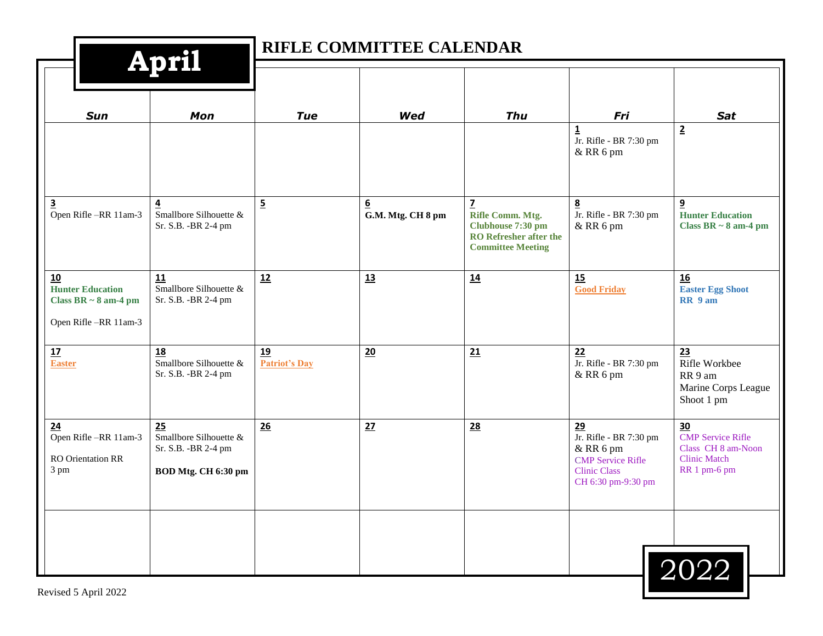|                                                                                                  | <b>April</b>                                                                |                            | RIFLE COMMITTEE CALENDAR              |                                                                                                                    |                                                                                                                    |                                                                                             |
|--------------------------------------------------------------------------------------------------|-----------------------------------------------------------------------------|----------------------------|---------------------------------------|--------------------------------------------------------------------------------------------------------------------|--------------------------------------------------------------------------------------------------------------------|---------------------------------------------------------------------------------------------|
| <b>Sun</b>                                                                                       | Mon                                                                         | <b>Tue</b>                 | Wed                                   | <b>Thu</b>                                                                                                         | Fri                                                                                                                | <b>Sat</b>                                                                                  |
|                                                                                                  |                                                                             |                            |                                       |                                                                                                                    | 1<br>Jr. Rifle - BR 7:30 pm<br>& RR 6 pm                                                                           | $\overline{2}$                                                                              |
| $\overline{\mathbf{3}}$<br>Open Rifle-RR 11am-3                                                  | $\overline{4}$<br>Smallbore Silhouette &<br>Sr. S.B. - BR 2-4 pm            | $\overline{5}$             | $6 \overline{6}$<br>G.M. Mtg. CH 8 pm | $\mathbf{Z}$<br>Rifle Comm. Mtg.<br>Clubhouse 7:30 pm<br><b>RO</b> Refresher after the<br><b>Committee Meeting</b> | 8<br>Jr. Rifle - BR 7:30 pm<br>& RR 6 pm                                                                           | 9<br><b>Hunter Education</b><br>Class BR $\sim$ 8 am-4 pm                                   |
| $\underline{10}$<br><b>Hunter Education</b><br>Class BR $\sim 8$ am-4 pm<br>Open Rifle-RR 11am-3 | 11<br>Smallbore Silhouette &<br>Sr. S.B. - BR 2-4 pm                        | 12                         | 13                                    | 14                                                                                                                 | 15<br><b>Good Friday</b>                                                                                           | 16<br><b>Easter Egg Shoot</b><br>RR 9 am                                                    |
| $\underline{\mathbf{17}}$<br><b>Easter</b>                                                       | <b>18</b><br>Smallbore Silhouette &<br>Sr. S.B. - BR 2-4 pm                 | 19<br><b>Patriot's Day</b> | 20                                    | 21                                                                                                                 | 22<br>Jr. Rifle - BR 7:30 pm<br>& RR 6 pm                                                                          | 23<br>Rifle Workbee<br>RR 9 am<br>Marine Corps League<br>Shoot 1 pm                         |
| 24<br>Open Rifle-RR 11am-3<br><b>RO</b> Orientation RR<br>3 pm                                   | 25<br>Smallbore Silhouette &<br>Sr. S.B. - BR 2-4 pm<br>BOD Mtg. CH 6:30 pm | 26                         | 27                                    | 28                                                                                                                 | 29<br>Jr. Rifle - BR 7:30 pm<br>& RR 6 pm<br><b>CMP</b> Service Rifle<br><b>Clinic Class</b><br>CH 6:30 pm-9:30 pm | 30<br><b>CMP Service Rifle</b><br>Class CH 8 am-Noon<br><b>Clinic Match</b><br>RR 1 pm-6 pm |
| Revised 5 April 2022                                                                             |                                                                             |                            |                                       |                                                                                                                    |                                                                                                                    | 2022                                                                                        |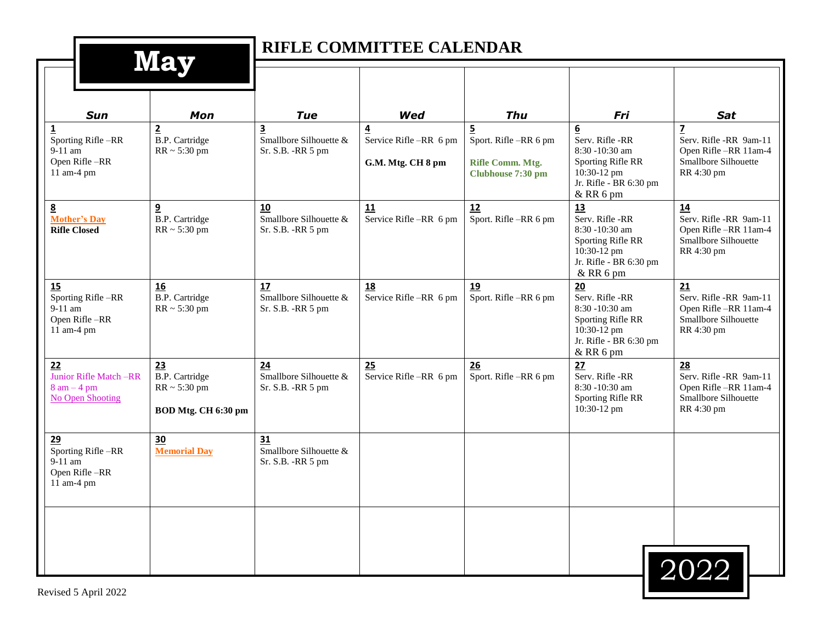| <b>May</b>                                                                              |                                                                            |                                                                                       | RIFLE COMMITTEE CALENDAR                          |                                                                                                |                                                                                                                                        |                                                                                                                       |
|-----------------------------------------------------------------------------------------|----------------------------------------------------------------------------|---------------------------------------------------------------------------------------|---------------------------------------------------|------------------------------------------------------------------------------------------------|----------------------------------------------------------------------------------------------------------------------------------------|-----------------------------------------------------------------------------------------------------------------------|
|                                                                                         |                                                                            |                                                                                       |                                                   |                                                                                                |                                                                                                                                        |                                                                                                                       |
| <b>Sun</b><br><u>1</u><br>Sporting Rifle-RR<br>$9-11$ am<br>Open Rifle-RR<br>11 am-4 pm | <b>Mon</b><br>$\overline{2}$<br><b>B.P.</b> Cartridge<br>$RR \sim 5:30$ pm | <b>Tue</b><br>$\overline{\mathbf{3}}$<br>Smallbore Silhouette &<br>Sr. S.B. - RR 5 pm | Wed<br>Service Rifle-RR 6 pm<br>G.M. Mtg. CH 8 pm | <b>Thu</b><br>$\overline{5}$<br>Sport. Rifle -RR 6 pm<br>Rifle Comm. Mtg.<br>Clubhouse 7:30 pm | Fri<br>$\underline{6}$<br>Serv. Rifle -RR<br>8:30 -10:30 am<br>Sporting Rifle RR<br>10:30-12 pm<br>Jr. Rifle - BR 6:30 pm<br>& RR 6 pm | <b>Sat</b><br>$\overline{z}$<br>Serv. Rifle -RR 9am-11<br>Open Rifle -RR 11am-4<br>Smallbore Silhouette<br>RR 4:30 pm |
| $\underline{8}$<br><b>Mother's Day</b><br><b>Rifle Closed</b>                           | $\overline{\mathbf{a}}$<br><b>B.P.</b> Cartridge<br>$RR \sim 5:30$ pm      | 10<br>Smallbore Silhouette &<br>Sr. S.B. - RR 5 pm                                    | 11<br>Service Rifle-RR 6 pm                       | 12<br>Sport. Rifle-RR 6 pm                                                                     | 13<br>Serv. Rifle -RR<br>8:30 -10:30 am<br>Sporting Rifle RR<br>10:30-12 pm<br>Jr. Rifle - BR 6:30 pm<br>& RR 6 pm                     | 14<br>Serv. Rifle -RR 9am-11<br>Open Rifle -RR 11am-4<br>Smallbore Silhouette<br>RR 4:30 pm                           |
| 15<br>Sporting Rifle-RR<br>$9-11$ am<br>Open Rifle-RR<br>11 am-4 pm                     | <b>16</b><br><b>B.P.</b> Cartridge<br>$RR \sim 5:30 \text{ pm}$            | 17<br>Smallbore Silhouette &<br>Sr. S.B. - RR 5 pm                                    | 18<br>Service Rifle -RR 6 pm                      | 19<br>Sport. Rifle-RR 6 pm                                                                     | 20<br>Serv. Rifle -RR<br>8:30 -10:30 am<br>Sporting Rifle RR<br>10:30-12 pm<br>Jr. Rifle - BR 6:30 pm<br>& RR 6 pm                     | 21<br>Serv. Rifle -RR 9am-11<br>Open Rifle-RR 11am-4<br>Smallbore Silhouette<br>RR 4:30 pm                            |
| 22<br>Junior Rifle Match -RR<br>$8$ am $-4$ pm<br><b>No Open Shooting</b>               | 23<br><b>B.P.</b> Cartridge<br>$RR \sim 5:30$ pm<br>BOD Mtg. CH 6:30 pm    | 24<br>Smallbore Silhouette &<br>Sr. S.B. - RR 5 pm                                    | 25<br>Service Rifle -RR 6 pm                      | 26<br>Sport. Rifle-RR 6 pm                                                                     | 27<br>Serv. Rifle -RR<br>8:30 -10:30 am<br>Sporting Rifle RR<br>10:30-12 pm                                                            | 28<br>Serv. Rifle -RR 9am-11<br>Open Rifle-RR 11am-4<br>Smallbore Silhouette<br>RR 4:30 pm                            |
| 29<br>Sporting Rifle-RR<br>9-11 am<br>Open Rifle-RR<br>11 am-4 pm                       | 30<br><b>Memorial Day</b>                                                  | 31<br>Smallbore Silhouette &<br>Sr. S.B. - RR 5 pm                                    |                                                   |                                                                                                |                                                                                                                                        |                                                                                                                       |
|                                                                                         |                                                                            |                                                                                       |                                                   |                                                                                                |                                                                                                                                        | 2022                                                                                                                  |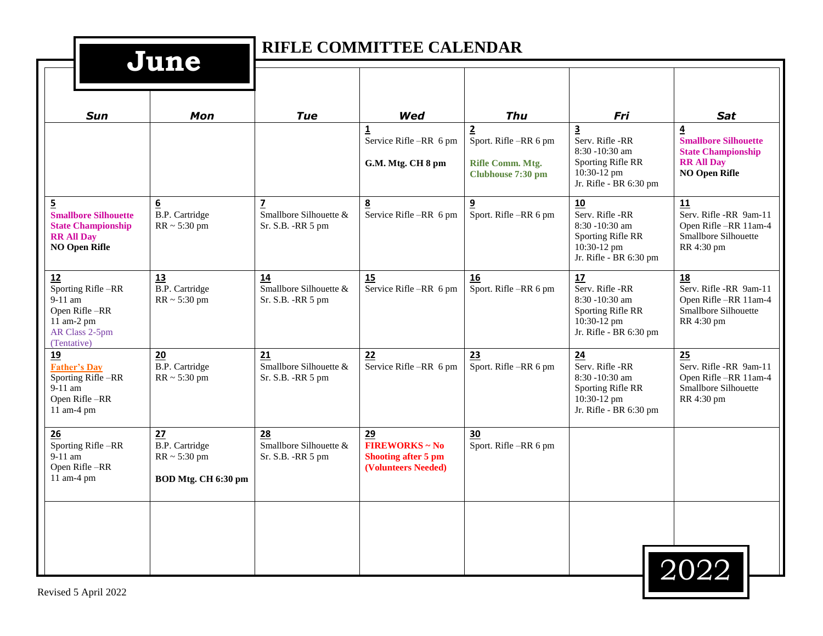| June                                                                                                                    |                                                                         |                                                    | RIFLE COMMITTEE CALENDAR                                                         |                                                                               |                                                                                                                            |                                                                                                                         |
|-------------------------------------------------------------------------------------------------------------------------|-------------------------------------------------------------------------|----------------------------------------------------|----------------------------------------------------------------------------------|-------------------------------------------------------------------------------|----------------------------------------------------------------------------------------------------------------------------|-------------------------------------------------------------------------------------------------------------------------|
|                                                                                                                         |                                                                         |                                                    |                                                                                  |                                                                               |                                                                                                                            |                                                                                                                         |
| <b>Sun</b>                                                                                                              | <b>Mon</b>                                                              | <b>Tue</b>                                         | Wed                                                                              | <b>Thu</b>                                                                    | Fri                                                                                                                        | <b>Sat</b>                                                                                                              |
|                                                                                                                         |                                                                         |                                                    | Service Rifle-RR 6 pm<br>G.M. Mtg. CH 8 pm                                       | $\mathbf{2}$<br>Sport. Rifle-RR 6 pm<br>Rifle Comm. Mtg.<br>Clubhouse 7:30 pm | $\overline{\mathbf{3}}$<br>Serv. Rifle -RR<br>8:30 -10:30 am<br>Sporting Rifle RR<br>10:30-12 pm<br>Jr. Rifle - BR 6:30 pm | $\overline{4}$<br><b>Smallbore Silhouette</b><br><b>State Championship</b><br><b>RR All Day</b><br><b>NO Open Rifle</b> |
| $\overline{5}$<br><b>Smallbore Silhouette</b><br><b>State Championship</b><br><b>RR All Day</b><br><b>NO Open Rifle</b> | $6 \overline{6}$<br><b>B.P.</b> Cartridge<br>$RR \sim 5:30$ pm          | 7<br>Smallbore Silhouette &<br>Sr. S.B. - RR 5 pm  | $\underline{8}$<br>Service Rifle-RR 6 pm                                         | 9<br>Sport. Rifle -RR 6 pm                                                    | 10<br>Serv. Rifle -RR<br>8:30 -10:30 am<br>Sporting Rifle RR<br>10:30-12 pm<br>Jr. Rifle - BR 6:30 pm                      | 11<br>Serv. Rifle -RR 9am-11<br>Open Rifle-RR 11am-4<br>Smallbore Silhouette<br>RR 4:30 pm                              |
| 12<br>Sporting Rifle-RR<br>9-11 am<br>Open Rifle-RR<br>11 am-2 pm<br>AR Class 2-5pm<br>(Tentative)                      | 13<br><b>B.P.</b> Cartridge<br>$RR \sim 5:30$ pm                        | 14<br>Smallbore Silhouette &<br>Sr. S.B. - RR 5 pm | 15<br>Service Rifle-RR 6 pm                                                      | 16<br>Sport. Rifle-RR 6 pm                                                    | 17<br>Serv. Rifle -RR<br>8:30 -10:30 am<br>Sporting Rifle RR<br>10:30-12 pm<br>Jr. Rifle - BR 6:30 pm                      | 18<br>Serv. Rifle -RR 9am-11<br>Open Rifle-RR 11am-4<br>Smallbore Silhouette<br>RR 4:30 pm                              |
| 19<br><b>Father's Day</b><br>Sporting Rifle-RR<br>9-11 am<br>Open Rifle-RR<br>11 am-4 pm                                | 20<br>B.P. Cartridge<br>$RR \sim 5:30$ pm                               | 21<br>Smallbore Silhouette &<br>Sr. S.B. - RR 5 pm | 22<br>Service Rifle-RR 6 pm                                                      | 23<br>Sport. Rifle-RR 6 pm                                                    | 24<br>Serv. Rifle -RR<br>8:30 -10:30 am<br>Sporting Rifle RR<br>10:30-12 pm<br>Jr. Rifle - BR 6:30 pm                      | 25<br>Serv. Rifle -RR 9am-11<br>Open Rifle-RR 11am-4<br>Smallbore Silhouette<br>RR 4:30 pm                              |
| 26<br>Sporting Rifle-RR<br>$9-11$ am<br>Open Rifle-RR<br>11 am-4 pm                                                     | 27<br><b>B.P.</b> Cartridge<br>$RR \sim 5:30$ pm<br>BOD Mtg. CH 6:30 pm | 28<br>Smallbore Silhouette &<br>Sr. S.B. - RR 5 pm | 29<br><b>FIREWORKS ~ No</b><br><b>Shooting after 5 pm</b><br>(Volunteers Needed) | 30<br>Sport. Rifle-RR 6 pm                                                    |                                                                                                                            |                                                                                                                         |
|                                                                                                                         |                                                                         |                                                    |                                                                                  |                                                                               |                                                                                                                            | 2022                                                                                                                    |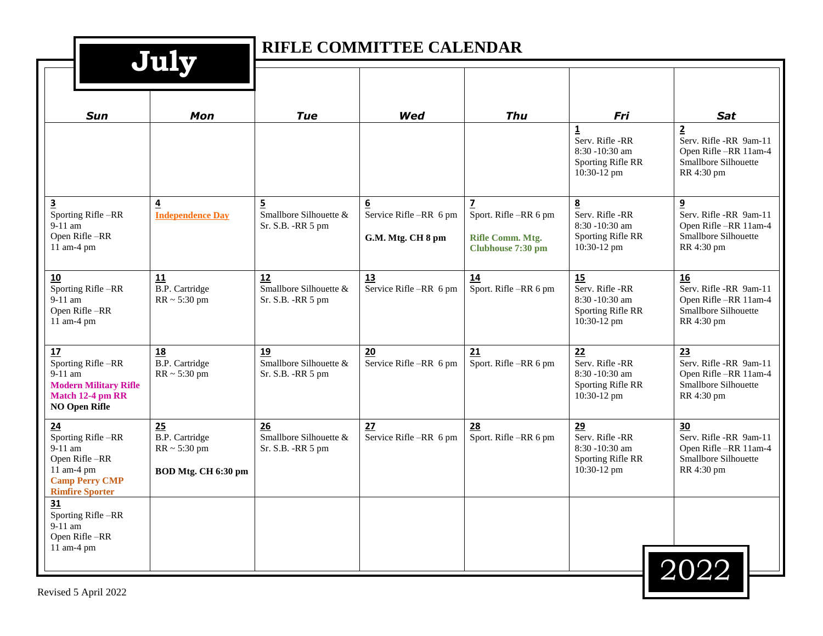|                                                                                                                        | July                                                                    |                                                                | RIFLE COMMITTEE CALENDAR                                      |                                                                                           |                                                                                                  |                                                                                                        |
|------------------------------------------------------------------------------------------------------------------------|-------------------------------------------------------------------------|----------------------------------------------------------------|---------------------------------------------------------------|-------------------------------------------------------------------------------------------|--------------------------------------------------------------------------------------------------|--------------------------------------------------------------------------------------------------------|
| <b>Sun</b>                                                                                                             | Mon                                                                     | <b>Tue</b>                                                     | Wed                                                           | Thu                                                                                       | Fri                                                                                              | Sat                                                                                                    |
|                                                                                                                        |                                                                         |                                                                |                                                               |                                                                                           | $\overline{\mathbf{1}}$<br>Serv. Rifle -RR<br>8:30 -10:30 am<br>Sporting Rifle RR<br>10:30-12 pm | $\overline{2}$<br>Serv. Rifle -RR 9am-11<br>Open Rifle-RR 11am-4<br>Smallbore Silhouette<br>RR 4:30 pm |
| $\overline{\mathbf{3}}$<br>Sporting Rifle-RR<br>9-11 am<br>Open Rifle-RR<br>11 am-4 pm                                 | $\overline{4}$<br><b>Independence Day</b>                               | $\overline{5}$<br>Smallbore Silhouette &<br>Sr. S.B. - RR 5 pm | $6\overline{6}$<br>Service Rifle-RR 6 pm<br>G.M. Mtg. CH 8 pm | $\overline{\mathbf{z}}$<br>Sport. Rifle -RR 6 pm<br>Rifle Comm. Mtg.<br>Clubhouse 7:30 pm | 8<br>Serv. Rifle -RR<br>8:30 -10:30 am<br>Sporting Rifle RR<br>10:30-12 pm                       | 9<br>Serv. Rifle -RR 9am-11<br>Open Rifle-RR 11am-4<br>Smallbore Silhouette<br>RR 4:30 pm              |
| 10<br>Sporting Rifle-RR<br>$9-11$ am<br>Open Rifle-RR<br>11 am-4 pm                                                    | 11<br><b>B.P.</b> Cartridge<br>$RR \sim 5:30$ pm                        | 12<br>Smallbore Silhouette &<br>Sr. S.B. - RR 5 pm             | 13<br>Service Rifle-RR 6 pm                                   | 14<br>Sport. Rifle-RR 6 pm                                                                | 15<br>Serv. Rifle -RR<br>8:30 -10:30 am<br>Sporting Rifle RR<br>10:30-12 pm                      | 16<br>Serv. Rifle -RR 9am-11<br>Open Rifle-RR 11am-4<br>Smallbore Silhouette<br>RR 4:30 pm             |
| 17<br>Sporting Rifle-RR<br>9-11 am<br><b>Modern Military Rifle</b><br>Match 12-4 pm RR<br><b>NO Open Rifle</b>         | <b>18</b><br>B.P. Cartridge<br>$RR \sim 5:30$ pm                        | 19<br>Smallbore Silhouette &<br>Sr. S.B. - RR 5 pm             | 20<br>Service Rifle -RR 6 pm                                  | 21<br>Sport. Rifle-RR 6 pm                                                                | 22<br>Serv. Rifle -RR<br>8:30 -10:30 am<br>Sporting Rifle RR<br>10:30-12 pm                      | 23<br>Serv. Rifle -RR 9am-11<br>Open Rifle-RR 11am-4<br>Smallbore Silhouette<br>RR 4:30 pm             |
| 24<br>Sporting Rifle-RR<br>$9-11$ am<br>Open Rifle-RR<br>11 am-4 pm<br><b>Camp Perry CMP</b><br><b>Rimfire Sporter</b> | 25<br><b>B.P.</b> Cartridge<br>$RR \sim 5:30$ pm<br>BOD Mtg. CH 6:30 pm | 26<br>Smallbore Silhouette &<br>Sr. S.B. - RR 5 pm             | 27<br>Service Rifle-RR 6 pm                                   | 28<br>Sport. Rifle-RR 6 pm                                                                | 29<br>Serv. Rifle -RR<br>8:30 -10:30 am<br>Sporting Rifle RR<br>10:30-12 pm                      | 30<br>Serv. Rifle -RR 9am-11<br>Open Rifle-RR 11am-4<br>Smallbore Silhouette<br>RR 4:30 pm             |
| 31<br>Sporting Rifle-RR<br>$9-11$ am<br>Open Rifle-RR<br>11 am-4 pm                                                    |                                                                         |                                                                |                                                               |                                                                                           |                                                                                                  | 2022                                                                                                   |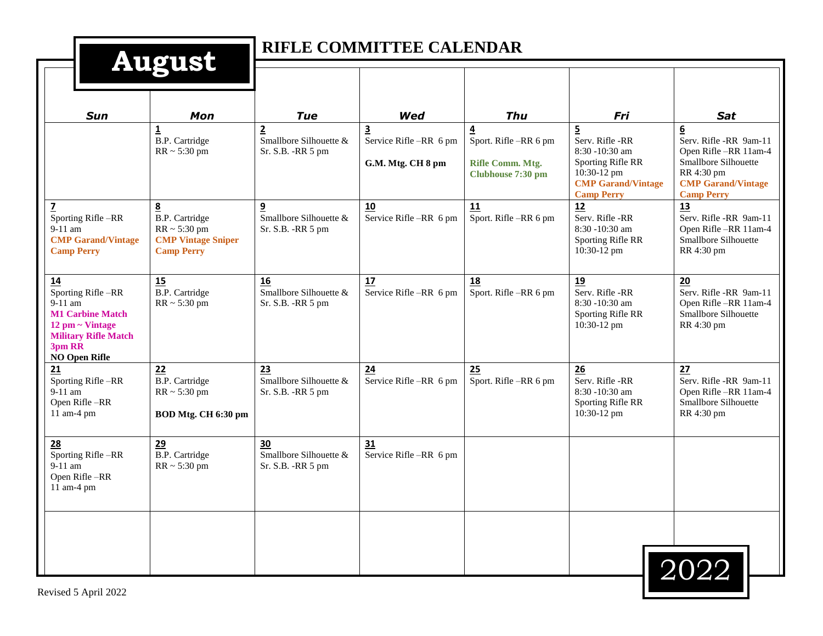| L<br>H | <u>і І</u> |  |  |
|--------|------------|--|--|
|        |            |  |  |
|        |            |  |  |

## **RIFLE COMMITTEE CALENDAR**

|                                                                                                                                                                         | <b>THE CHOC</b>                                                                                   |                                                                |                                                                        |                                                                    |                                                                                                                                              |                                                                                                                                                   |
|-------------------------------------------------------------------------------------------------------------------------------------------------------------------------|---------------------------------------------------------------------------------------------------|----------------------------------------------------------------|------------------------------------------------------------------------|--------------------------------------------------------------------|----------------------------------------------------------------------------------------------------------------------------------------------|---------------------------------------------------------------------------------------------------------------------------------------------------|
| <b>Sun</b>                                                                                                                                                              | Mon                                                                                               | <b>Tue</b>                                                     | Wed                                                                    | <b>Thu</b>                                                         | Fri                                                                                                                                          | <b>Sat</b>                                                                                                                                        |
|                                                                                                                                                                         | $\overline{\mathbf{1}}$<br><b>B.P.</b> Cartridge<br>$RR \sim 5:30$ pm                             | $\overline{2}$<br>Smallbore Silhouette &<br>Sr. S.B. - RR 5 pm | $\overline{\mathbf{3}}$<br>Service Rifle -RR 6 pm<br>G.M. Mtg. CH 8 pm | 4<br>Sport. Rifle-RR 6 pm<br>Rifle Comm. Mtg.<br>Clubhouse 7:30 pm | $\overline{5}$<br>Serv. Rifle -RR<br>$8:30 - 10:30$ am<br>Sporting Rifle RR<br>10:30-12 pm<br><b>CMP Garand/Vintage</b><br><b>Camp Perry</b> | $\bf 6$<br>Serv. Rifle -RR 9am-11<br>Open Rifle-RR 11am-4<br>Smallbore Silhouette<br>RR 4:30 pm<br><b>CMP Garand/Vintage</b><br><b>Camp Perry</b> |
| $\overline{z}$<br>Sporting Rifle-RR<br>9-11 am<br><b>CMP Garand/Vintage</b><br><b>Camp Perry</b>                                                                        | 8<br><b>B.P.</b> Cartridge<br>$RR \sim 5:30$ pm<br><b>CMP Vintage Sniper</b><br><b>Camp Perry</b> | 9<br>Smallbore Silhouette &<br>Sr. S.B. - RR 5 pm              | 10<br>Service Rifle -RR 6 pm                                           | 11<br>Sport. Rifle-RR 6 pm                                         | 12<br>Serv. Rifle -RR<br>$8:30 - 10:30$ am<br>Sporting Rifle RR<br>10:30-12 pm                                                               | 13<br>Serv. Rifle -RR 9am-11<br>Open Rifle-RR 11am-4<br>Smallbore Silhouette<br>RR 4:30 pm                                                        |
| 14<br>Sporting Rifle-RR<br>$9-11$ am<br><b>M1 Carbine Match</b><br>$12 \text{ pm} \sim \text{Vintage}$<br><b>Military Rifle Match</b><br>3pm RR<br><b>NO Open Rifle</b> | 15<br><b>B.P.</b> Cartridge<br>$RR \sim 5:30$ pm                                                  | 16<br>Smallbore Silhouette &<br>Sr. S.B. - RR 5 pm             | 17<br>Service Rifle -RR 6 pm                                           | 18<br>Sport. Rifle -RR 6 pm                                        | 19<br>Serv. Rifle -RR<br>8:30 -10:30 am<br>Sporting Rifle RR<br>10:30-12 pm                                                                  | 20<br>Serv. Rifle -RR 9am-11<br>Open Rifle-RR 11am-4<br>Smallbore Silhouette<br>RR 4:30 pm                                                        |
| 21<br>Sporting Rifle-RR<br>9-11 am<br>Open Rifle-RR<br>11 am-4 pm                                                                                                       | 22<br><b>B.P.</b> Cartridge<br>$RR \sim 5:30$ pm<br>BOD Mtg. CH 6:30 pm                           | 23<br>Smallbore Silhouette &<br>Sr. S.B. -RR 5 pm              | 24<br>Service Rifle -RR 6 pm                                           | 25<br>Sport. Rifle-RR 6 pm                                         | 26<br>Serv. Rifle -RR<br>8:30 -10:30 am<br>Sporting Rifle RR<br>10:30-12 pm                                                                  | 27<br>Serv. Rifle -RR 9am-11<br>Open Rifle-RR 11am-4<br>Smallbore Silhouette<br>RR 4:30 pm                                                        |
| 28<br>Sporting Rifle-RR<br>$9-11$ am<br>Open Rifle-RR<br>11 am-4 pm                                                                                                     | 29<br><b>B.P.</b> Cartridge<br>$RR \sim 5:30$ pm                                                  | 30<br>Smallbore Silhouette &<br>Sr. S.B. - RR 5 pm             | 31<br>Service Rifle-RR 6 pm                                            |                                                                    |                                                                                                                                              |                                                                                                                                                   |
|                                                                                                                                                                         |                                                                                                   |                                                                |                                                                        |                                                                    |                                                                                                                                              | 2022                                                                                                                                              |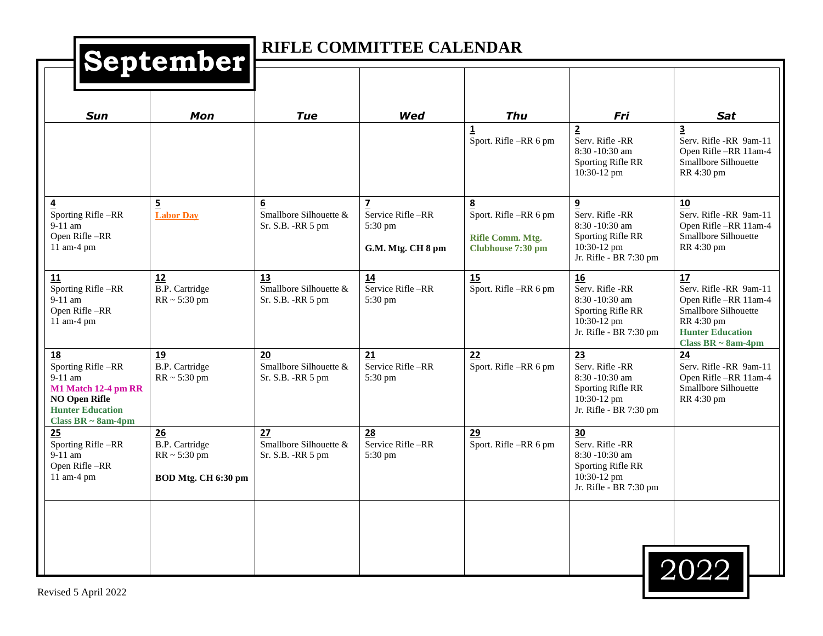## **RIFLE COMMITTEE CALENDAR**

|                                                                                                                                           | $\sim$ $\sim$                                                           |                                                                  |                                                                                       |                                                                     |                                                                                                       |                                                                                                                                                  |
|-------------------------------------------------------------------------------------------------------------------------------------------|-------------------------------------------------------------------------|------------------------------------------------------------------|---------------------------------------------------------------------------------------|---------------------------------------------------------------------|-------------------------------------------------------------------------------------------------------|--------------------------------------------------------------------------------------------------------------------------------------------------|
| <b>Sun</b>                                                                                                                                | Mon                                                                     | <b>Tue</b>                                                       | Wed                                                                                   | <b>Thu</b>                                                          | Fri                                                                                                   | <b>Sat</b>                                                                                                                                       |
|                                                                                                                                           |                                                                         |                                                                  |                                                                                       | $\overline{\mathbf{1}}$<br>Sport. Rifle -RR 6 pm                    | $\overline{2}$<br>Serv. Rifle -RR<br>8:30 -10:30 am<br>Sporting Rifle RR<br>10:30-12 pm               | 3<br>Serv. Rifle -RR 9am-11<br>Open Rifle-RR 11am-4<br>Smallbore Silhouette<br>RR 4:30 pm                                                        |
| $\overline{\mathbf{4}}$<br>Sporting Rifle-RR<br>9-11 am<br>Open Rifle-RR<br>11 am-4 pm                                                    | 5<br><b>Labor Day</b>                                                   | $6 \overline{6}$<br>Smallbore Silhouette &<br>Sr. S.B. - RR 5 pm | $\overline{\mathbf{z}}$<br>Service Rifle-RR<br>$5:30 \text{ pm}$<br>G.M. Mtg. CH 8 pm | 8<br>Sport. Rifle -RR 6 pm<br>Rifle Comm. Mtg.<br>Clubhouse 7:30 pm | 9<br>Serv. Rifle -RR<br>8:30 -10:30 am<br>Sporting Rifle RR<br>10:30-12 pm<br>Jr. Rifle - BR 7:30 pm  | 10<br>Serv. Rifle -RR 9am-11<br>Open Rifle -RR 11am-4<br>Smallbore Silhouette<br>RR 4:30 pm                                                      |
| 11<br>Sporting Rifle-RR<br>$9-11$ am<br>Open Rifle-RR<br>11 am-4 pm                                                                       | 12<br><b>B.P.</b> Cartridge<br>$RR \sim 5:30$ pm                        | 13<br>Smallbore Silhouette &<br>Sr. S.B. - RR 5 pm               | 14<br>Service Rifle-RR<br>5:30 pm                                                     | 15<br>Sport. Rifle -RR 6 pm                                         | 16<br>Serv. Rifle -RR<br>8:30 -10:30 am<br>Sporting Rifle RR<br>10:30-12 pm<br>Jr. Rifle - BR 7:30 pm | 17<br>Serv. Rifle -RR 9am-11<br>Open Rifle-RR 11am-4<br>Smallbore Silhouette<br>RR 4:30 pm<br><b>Hunter Education</b><br>Class BR $\sim$ 8am-4pm |
| 18<br>Sporting Rifle-RR<br>$9-11$ am<br>M1 Match 12-4 pm RR<br><b>NO Open Rifle</b><br><b>Hunter Education</b><br>Class BR $\sim$ 8am-4pm | 19<br>B.P. Cartridge<br>$RR \sim 5:30$ pm                               | 20<br>Smallbore Silhouette &<br>$Sr. S.B. -RR 5 pm$              | 21<br>Service Rifle-RR<br>$5:30 \text{ pm}$                                           | 22<br>Sport. Rifle -RR 6 pm                                         | 23<br>Serv. Rifle -RR<br>8:30 -10:30 am<br>Sporting Rifle RR<br>10:30-12 pm<br>Jr. Rifle - BR 7:30 pm | 24<br>Serv. Rifle -RR 9am-11<br>Open Rifle-RR 11am-4<br>Smallbore Silhouette<br>RR 4:30 pm                                                       |
| 25<br>Sporting Rifle-RR<br>$9-11$ am<br>Open Rifle-RR<br>11 am-4 pm                                                                       | 26<br><b>B.P.</b> Cartridge<br>$RR \sim 5:30$ pm<br>BOD Mtg. CH 6:30 pm | 27<br>Smallbore Silhouette &<br>Sr. S.B. - RR 5 pm               | 28<br>Service Rifle-RR<br>5:30 pm                                                     | 29<br>Sport. Rifle-RR 6 pm                                          | 30<br>Serv. Rifle -RR<br>8:30 -10:30 am<br>Sporting Rifle RR<br>10:30-12 pm<br>Jr. Rifle - BR 7:30 pm |                                                                                                                                                  |
|                                                                                                                                           |                                                                         |                                                                  |                                                                                       |                                                                     |                                                                                                       | 2022                                                                                                                                             |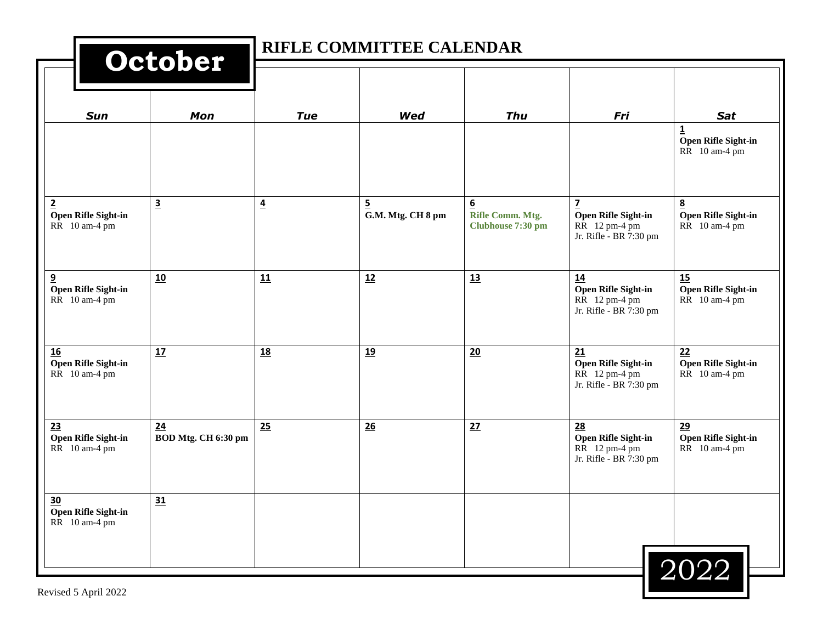|                                                                 | October                   |                | RIFLE COMMITTEE CALENDAR            |                                            |                                                                      |                                                  |
|-----------------------------------------------------------------|---------------------------|----------------|-------------------------------------|--------------------------------------------|----------------------------------------------------------------------|--------------------------------------------------|
| Sun                                                             | Mon                       | <b>Tue</b>     | <b>Wed</b>                          | <b>Thu</b>                                 | Fri                                                                  | Sat                                              |
|                                                                 |                           |                |                                     |                                            |                                                                      | 1<br><b>Open Rifle Sight-in</b><br>RR 10 am-4 pm |
| $\overline{2}$<br>Open Rifle Sight-in<br>RR 10 am-4 pm          | $\overline{\mathbf{3}}$   | $\overline{4}$ | $\overline{5}$<br>G.M. Mtg. CH 8 pm | 6<br>Rifle Comm. Mtg.<br>Clubhouse 7:30 pm | z<br>Open Rifle Sight-in<br>RR 12 pm-4 pm<br>Jr. Rifle - BR 7:30 pm  | 8<br><b>Open Rifle Sight-in</b><br>RR 10 am-4 pm |
| $\overline{\mathbf{9}}$<br>Open Rifle Sight-in<br>RR 10 am-4 pm | 10                        | 11             | 12                                  | 13                                         | 14<br>Open Rifle Sight-in<br>RR 12 pm-4 pm<br>Jr. Rifle - BR 7:30 pm | 15<br>Open Rifle Sight-in<br>RR 10 am-4 pm       |
| <b>16</b><br>Open Rifle Sight-in<br>RR 10 am-4 pm               | 17                        | <b>18</b>      | <u>19</u>                           | 20                                         | 21<br>Open Rifle Sight-in<br>RR 12 pm-4 pm<br>Jr. Rifle - BR 7:30 pm | 22<br>Open Rifle Sight-in<br>RR 10 am-4 pm       |
| 23<br>Open Rifle Sight-in<br>RR 10 am-4 pm                      | 24<br>BOD Mtg. CH 6:30 pm | 25             | 26                                  | 27                                         | 28<br>Open Rifle Sight-in<br>RR 12 pm-4 pm<br>Jr. Rifle - BR 7:30 pm | 29<br>Open Rifle Sight-in<br>RR 10 am-4 pm       |
| $\frac{30}{2}$<br>Open Rifle Sight-in<br>RR 10 am-4 pm          | 31                        |                |                                     |                                            |                                                                      | 2022                                             |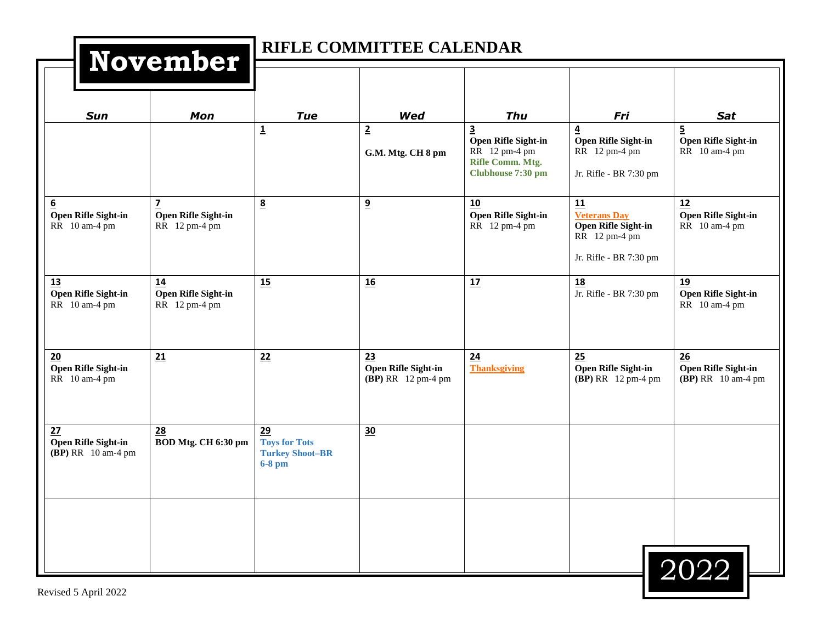| November                                                 |                                                      | RIFLE COMMITTEE CALENDAR                                         |                                                        |                                                                                                                 |                                                                                                    |                                                               |  |  |
|----------------------------------------------------------|------------------------------------------------------|------------------------------------------------------------------|--------------------------------------------------------|-----------------------------------------------------------------------------------------------------------------|----------------------------------------------------------------------------------------------------|---------------------------------------------------------------|--|--|
| <b>Sun</b>                                               | Mon                                                  | <b>Tue</b>                                                       | <b>Wed</b>                                             | <b>Thu</b>                                                                                                      | Fri                                                                                                | Sat                                                           |  |  |
|                                                          |                                                      | $\overline{1}$                                                   | $\overline{2}$<br>G.M. Mtg. CH 8 pm                    | $\overline{\mathbf{3}}$<br><b>Open Rifle Sight-in</b><br>RR 12 pm-4 pm<br>Rifle Comm. Mtg.<br>Clubhouse 7:30 pm | $\overline{4}$<br><b>Open Rifle Sight-in</b><br>RR 12 pm-4 pm<br>Jr. Rifle - BR 7:30 pm            | $\overline{5}$<br><b>Open Rifle Sight-in</b><br>RR 10 am-4 pm |  |  |
| 6<br><b>Open Rifle Sight-in</b><br>RR 10 am-4 pm         | $\mathbf{Z}$<br>Open Rifle Sight-in<br>RR 12 pm-4 pm | $\underline{8}$                                                  | 9                                                      | 10<br>Open Rifle Sight-in<br>RR 12 pm-4 pm                                                                      | 11<br><b>Veterans Day</b><br><b>Open Rifle Sight-in</b><br>RR 12 pm-4 pm<br>Jr. Rifle - BR 7:30 pm | 12<br>Open Rifle Sight-in<br>RR 10 am-4 pm                    |  |  |
| 13<br>Open Rifle Sight-in<br>RR 10 am-4 pm               | 14<br>Open Rifle Sight-in<br>RR 12 pm-4 pm           | 15                                                               | 16                                                     | 17                                                                                                              | 18<br>Jr. Rifle - BR 7:30 pm                                                                       | 19<br>Open Rifle Sight-in<br>RR 10 am-4 pm                    |  |  |
| 20<br>Open Rifle Sight-in<br>RR 10 am-4 pm               | 21                                                   | 22                                                               | 23<br><b>Open Rifle Sight-in</b><br>(BP) RR 12 pm-4 pm | 24<br><b>Thanksgiving</b>                                                                                       | 25<br><b>Open Rifle Sight-in</b><br>(BP) RR 12 pm-4 pm                                             | 26<br>Open Rifle Sight-in<br>(BP) RR 10 am-4 pm               |  |  |
| 27<br><b>Open Rifle Sight-in</b><br>$(BP) RR$ 10 am-4 pm | 28<br>BOD Mtg. CH 6:30 pm                            | 29<br><b>Toys for Tots</b><br><b>Turkey Shoot-BR</b><br>$6-8$ pm | 30                                                     |                                                                                                                 |                                                                                                    |                                                               |  |  |
|                                                          |                                                      |                                                                  |                                                        |                                                                                                                 |                                                                                                    | 2022                                                          |  |  |